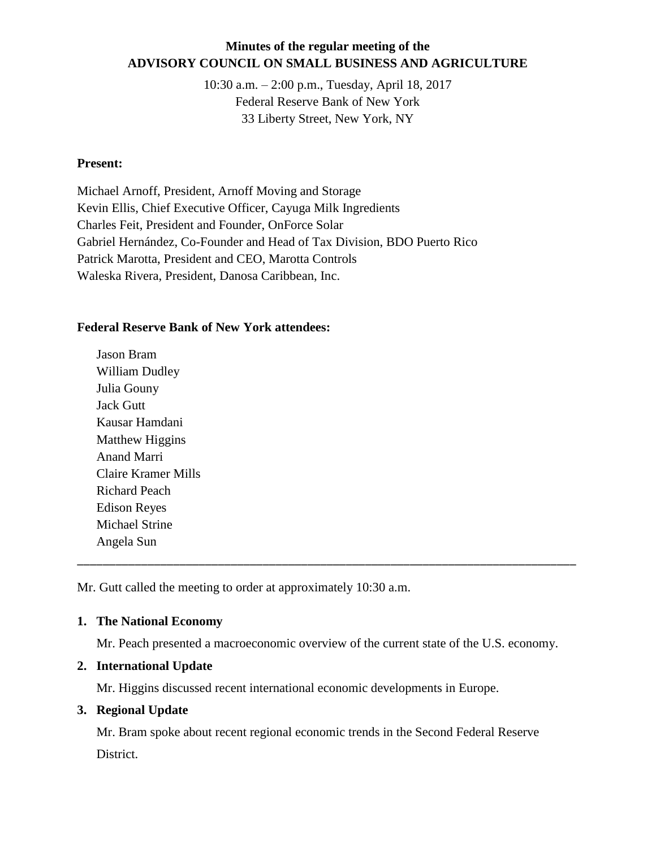# **Minutes of the regular meeting of the ADVISORY COUNCIL ON SMALL BUSINESS AND AGRICULTURE**

10:30 a.m. – 2:00 p.m., Tuesday, April 18, 2017 Federal Reserve Bank of New York 33 Liberty Street, New York, NY

#### **Present:**

Michael Arnoff, President, Arnoff Moving and Storage Kevin Ellis, Chief Executive Officer, Cayuga Milk Ingredients Charles Feit, President and Founder, OnForce Solar Gabriel Hernández, Co-Founder and Head of Tax Division, BDO Puerto Rico Patrick Marotta, President and CEO, Marotta Controls Waleska Rivera, President, Danosa Caribbean, Inc.

#### **Federal Reserve Bank of New York attendees:**

Jason Bram William Dudley Julia Gouny Jack Gutt Kausar Hamdani Matthew Higgins Anand Marri Claire Kramer Mills Richard Peach Edison Reyes Michael Strine Angela Sun

Mr. Gutt called the meeting to order at approximately 10:30 a.m.

## **1. The National Economy**

Mr. Peach presented a macroeconomic overview of the current state of the U.S. economy.

\_\_\_\_\_\_\_\_\_\_\_\_\_\_\_\_\_\_\_\_\_\_\_\_\_\_\_\_\_\_\_\_\_\_\_\_\_\_\_\_\_\_\_\_\_\_\_\_\_\_\_\_\_\_\_\_\_\_\_\_\_\_\_\_\_\_\_\_\_\_\_\_\_\_\_\_\_\_

## **2. International Update**

Mr. Higgins discussed recent international economic developments in Europe.

## **3. Regional Update**

Mr. Bram spoke about recent regional economic trends in the Second Federal Reserve District.